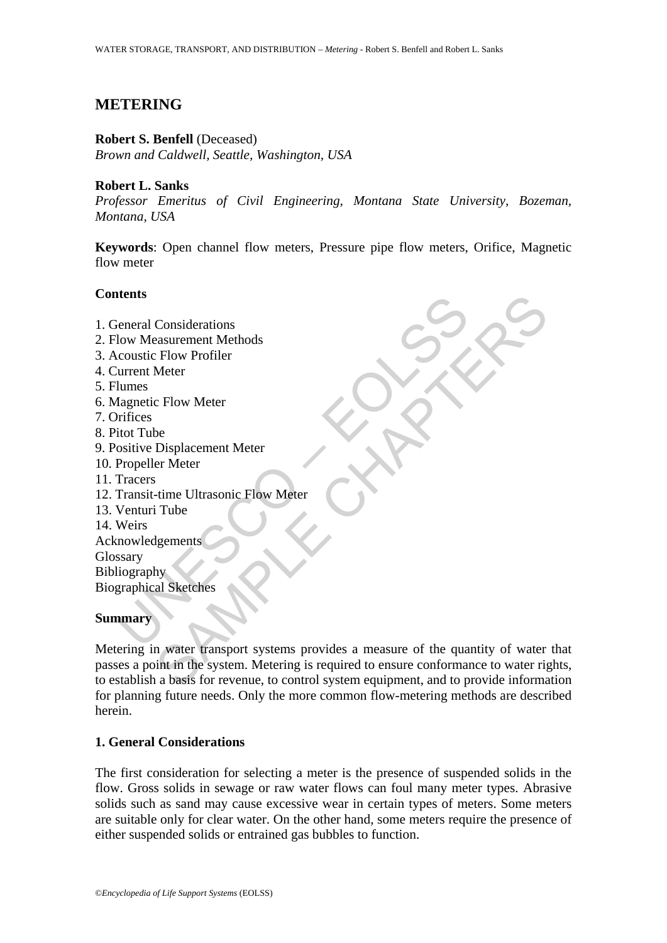# **METERING**

### **Robert S. Benfell** (Deceased)

*Brown and Caldwell, Seattle, Washington, USA* 

## **Robert L. Sanks**

*Professor Emeritus of Civil Engineering, Montana State University, Bozeman, Montana, USA* 

**Keywords**: Open channel flow meters, Pressure pipe flow meters, Orifice, Magnetic flow meter

## **Contents**

France Considerations<br>
Element Considerations<br>
Louve Measurement Methods<br>
Coustic Flow Profiler<br>
urrent Meter<br>
Inagnetic Flow Meter<br>
Propeller Meter<br>
Propeller Meter<br>
Transit-time Ultrasonic Flow Meter<br>
Venturi Tube<br>
Weirs Considerations<br>
Explore Profiler<br>
Flow Profiler<br>
Neter<br>
Displacement Meter<br>
The Ultrasonic Flow Meter<br>
The Ultrasonic Flow Meter<br>
The Ugements<br>
State of the quantity of water<br>
In water transport systems provides a measure 1. General Considerations 2. Flow Measurement Methods 3. Acoustic Flow Profiler 4. Current Meter 5. Flumes 6. Magnetic Flow Meter 7. Orifices 8. Pitot Tube 9. Positive Displacement Meter 10. Propeller Meter 11. Tracers 12. Transit-time Ultrasonic Flow Meter 13. Venturi Tube 14. Weirs Acknowledgements Glossary **Bibliography** Biographical Sketches **Summary** 

Metering in water transport systems provides a measure of the quantity of water that passes a point in the system. Metering is required to ensure conformance to water rights, to establish a basis for revenue, to control system equipment, and to provide information for planning future needs. Only the more common flow-metering methods are described herein.

## **1. General Considerations**

The first consideration for selecting a meter is the presence of suspended solids in the flow. Gross solids in sewage or raw water flows can foul many meter types. Abrasive solids such as sand may cause excessive wear in certain types of meters. Some meters are suitable only for clear water. On the other hand, some meters require the presence of either suspended solids or entrained gas bubbles to function.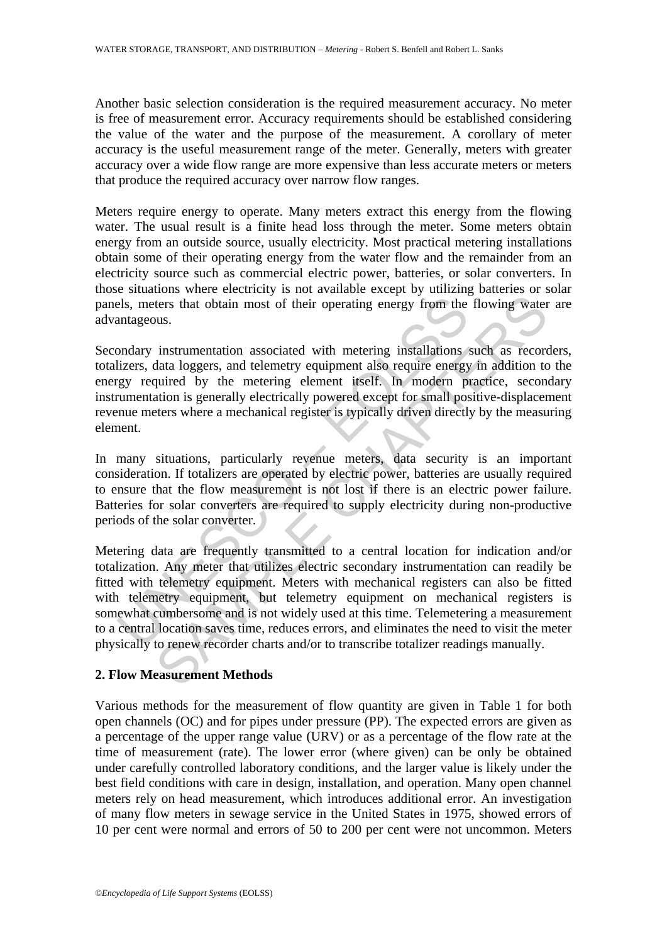Another basic selection consideration is the required measurement accuracy. No meter is free of measurement error. Accuracy requirements should be established considering the value of the water and the purpose of the measurement. A corollary of meter accuracy is the useful measurement range of the meter. Generally, meters with greater accuracy over a wide flow range are more expensive than less accurate meters or meters that produce the required accuracy over narrow flow ranges.

Meters require energy to operate. Many meters extract this energy from the flowing water. The usual result is a finite head loss through the meter. Some meters obtain energy from an outside source, usually electricity. Most practical metering installations obtain some of their operating energy from the water flow and the remainder from an electricity source such as commercial electric power, batteries, or solar converters. In those situations where electricity is not available except by utilizing batteries or solar panels, meters that obtain most of their operating energy from the flowing water are advantageous.

Secondary instrumentation associated with metering installations such as recorders, totalizers, data loggers, and telemetry equipment also require energy in addition to the energy required by the metering element itself. In modern practice, secondary instrumentation is generally electrically powered except for small positive-displacement revenue meters where a mechanical register is typically driven directly by the measuring element.

In many situations, particularly revenue meters, data security is an important consideration. If totalizers are operated by electric power, batteries are usually required to ensure that the flow measurement is not lost if there is an electric power failure. Batteries for solar converters are required to supply electricity during non-productive periods of the solar converter.

els, meters that obtain most of their operating energy from the<br>antageous.<br>
Somalary instrumentation associated with metering installations<br>
lizers, data loggers, and telemetry equipment also require energy<br>
igy required b ters that obtain most of their operating energy from the flowing water<br>ters that obtain most of their operating energy from the flowing water<br>us.<br>instrumentation associated with metering installations such as record<br>ata lo Metering data are frequently transmitted to a central location for indication and/or totalization. Any meter that utilizes electric secondary instrumentation can readily be fitted with telemetry equipment. Meters with mechanical registers can also be fitted with telemetry equipment, but telemetry equipment on mechanical registers is somewhat cumbersome and is not widely used at this time. Telemetering a measurement to a central location saves time, reduces errors, and eliminates the need to visit the meter physically to renew recorder charts and/or to transcribe totalizer readings manually.

## **2. Flow Measurement Methods**

Various methods for the measurement of flow quantity are given in Table 1 for both open channels (OC) and for pipes under pressure (PP). The expected errors are given as a percentage of the upper range value (URV) or as a percentage of the flow rate at the time of measurement (rate). The lower error (where given) can be only be obtained under carefully controlled laboratory conditions, and the larger value is likely under the best field conditions with care in design, installation, and operation. Many open channel meters rely on head measurement, which introduces additional error. An investigation of many flow meters in sewage service in the United States in 1975, showed errors of 10 per cent were normal and errors of 50 to 200 per cent were not uncommon. Meters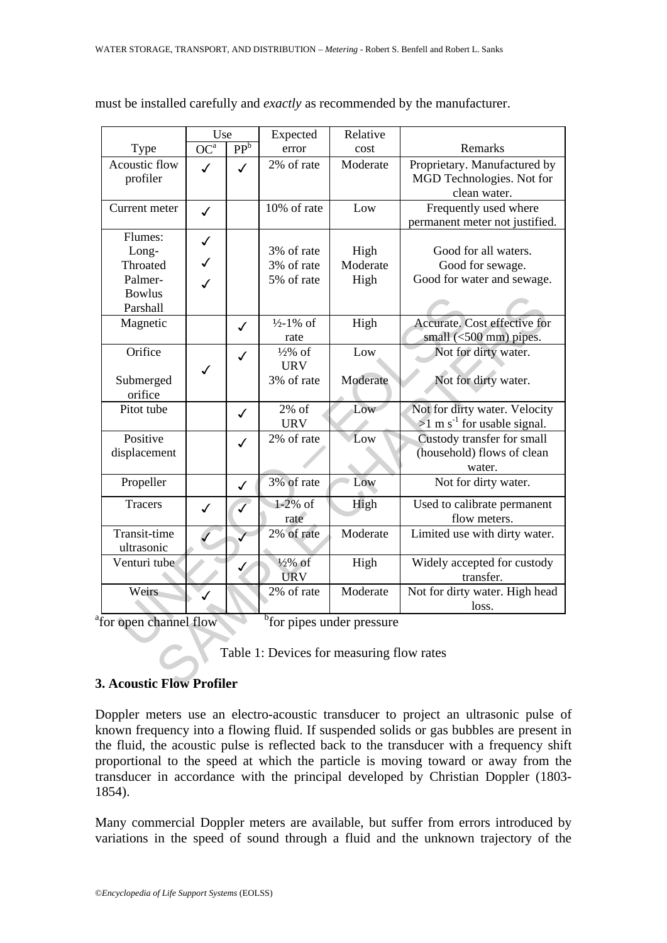|                                                                             | Use             |                 | Expected             | Relative |                                           |
|-----------------------------------------------------------------------------|-----------------|-----------------|----------------------|----------|-------------------------------------------|
| Type                                                                        | OC <sup>a</sup> | PP <sup>b</sup> | error                | cost     | Remarks                                   |
| Acoustic flow                                                               | $\checkmark$    | $\checkmark$    | 2% of rate           | Moderate | Proprietary. Manufactured by              |
| profiler                                                                    |                 |                 |                      |          | MGD Technologies. Not for                 |
|                                                                             |                 |                 |                      |          | clean water.                              |
| Current meter                                                               | $\checkmark$    |                 | 10% of rate          | Low      | Frequently used where                     |
|                                                                             |                 |                 |                      |          | permanent meter not justified.            |
| Flumes:                                                                     | $\checkmark$    |                 |                      |          |                                           |
| Long-                                                                       |                 |                 | 3% of rate           | High     | Good for all waters.                      |
| Throated                                                                    | $\checkmark$    |                 | 3% of rate           | Moderate | Good for sewage.                          |
| Palmer-                                                                     | $\checkmark$    |                 | 5% of rate           | High     | Good for water and sewage.                |
| <b>Bowlus</b>                                                               |                 |                 |                      |          |                                           |
| Parshall                                                                    |                 |                 |                      |          |                                           |
| Magnetic                                                                    |                 | $\checkmark$    | $\frac{1}{2}$ -1% of | High     | Accurate. Cost effective for              |
|                                                                             |                 |                 | rate                 |          | small (<500 mm) pipes.                    |
| Orifice                                                                     |                 | $\checkmark$    | $\frac{1}{2}\%$ of   | Low      | Not for dirty water.                      |
|                                                                             | ✓               |                 | <b>URV</b>           |          |                                           |
| Submerged                                                                   |                 |                 | 3% of rate           | Moderate | Not for dirty water.                      |
| orifice                                                                     |                 |                 |                      |          |                                           |
| Pitot tube                                                                  |                 | $\checkmark$    | $2\%$ of             | Low      | Not for dirty water. Velocity             |
|                                                                             |                 |                 | <b>URV</b>           |          | $>1$ m s <sup>-1</sup> for usable signal. |
| Positive                                                                    |                 | ✓               | 2% of rate           | Low      | Custody transfer for small                |
| displacement                                                                |                 |                 |                      |          | (household) flows of clean                |
|                                                                             |                 |                 |                      |          | water.                                    |
| Propeller                                                                   |                 | $\checkmark$    | 3% of rate           | Low      | Not for dirty water.                      |
| <b>Tracers</b>                                                              | $\checkmark$    | $\mathcal{J}$   | $1-2\%$ of           | High     | Used to calibrate permanent               |
|                                                                             |                 |                 | rate                 |          | flow meters.                              |
| Transit-time                                                                |                 |                 | 2% of rate           | Moderate | Limited use with dirty water.             |
| ultrasonic                                                                  |                 |                 |                      |          |                                           |
| Venturi tube                                                                |                 |                 | $\frac{1}{2}\%$ of   | High     | Widely accepted for custody               |
|                                                                             |                 |                 | <b>URV</b>           |          | transfer.                                 |
| Weirs                                                                       |                 |                 | 2% of rate           | Moderate | Not for dirty water. High head            |
|                                                                             |                 |                 |                      |          | loss.                                     |
| <sup>b</sup> for pipes under pressure<br><sup>a</sup> for open channel flow |                 |                 |                      |          |                                           |
|                                                                             |                 |                 |                      |          |                                           |
| Table 1: Devices for measuring flow rates                                   |                 |                 |                      |          |                                           |
|                                                                             |                 |                 |                      |          |                                           |
| <b>3. Acoustic Flow Profiler</b>                                            |                 |                 |                      |          |                                           |

must be installed carefully and *exactly* as recommended by the manufacturer.

## **3. Acoustic Flow Profiler**

Doppler meters use an electro-acoustic transducer to project an ultrasonic pulse of known frequency into a flowing fluid. If suspended solids or gas bubbles are present in the fluid, the acoustic pulse is reflected back to the transducer with a frequency shift proportional to the speed at which the particle is moving toward or away from the transducer in accordance with the principal developed by Christian Doppler (1803- 1854).

Many commercial Doppler meters are available, but suffer from errors introduced by variations in the speed of sound through a fluid and the unknown trajectory of the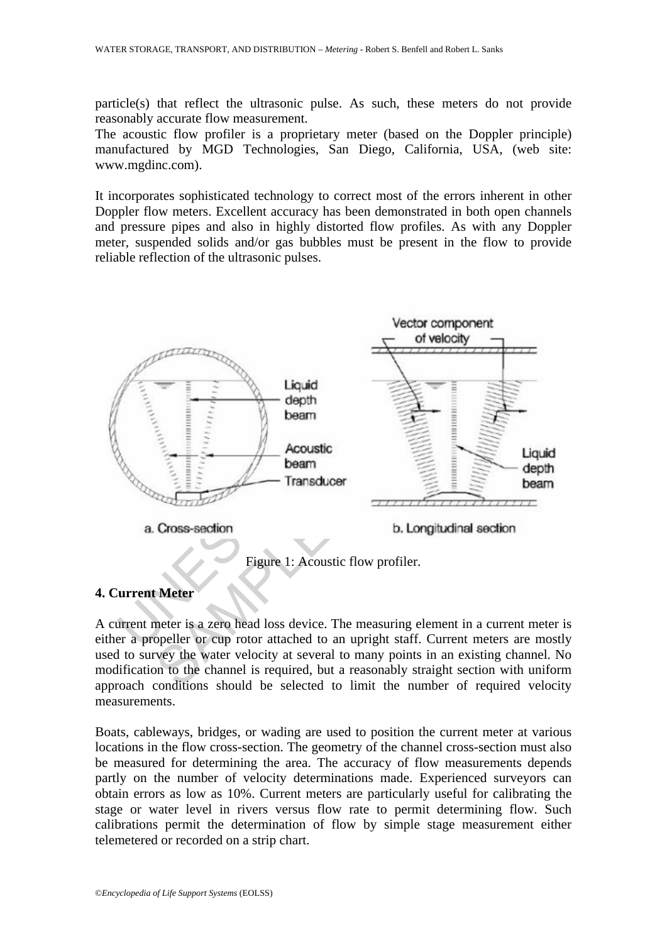particle(s) that reflect the ultrasonic pulse. As such, these meters do not provide reasonably accurate flow measurement.

The acoustic flow profiler is a proprietary meter (based on the Doppler principle) manufactured by MGD Technologies, San Diego, California, USA, (web site: www.mgdinc.com).

It incorporates sophisticated technology to correct most of the errors inherent in other Doppler flow meters. Excellent accuracy has been demonstrated in both open channels and pressure pipes and also in highly distorted flow profiles. As with any Doppler meter, suspended solids and/or gas bubbles must be present in the flow to provide reliable reflection of the ultrasonic pulses.



## **4. Current Meter**

A current meter is a zero head loss device. The measuring element in a current meter is either a propeller or cup rotor attached to an upright staff. Current meters are mostly used to survey the water velocity at several to many points in an existing channel. No modification to the channel is required, but a reasonably straight section with uniform approach conditions should be selected to limit the number of required velocity measurements.

Boats, cableways, bridges, or wading are used to position the current meter at various locations in the flow cross-section. The geometry of the channel cross-section must also be measured for determining the area. The accuracy of flow measurements depends partly on the number of velocity determinations made. Experienced surveyors can obtain errors as low as 10%. Current meters are particularly useful for calibrating the stage or water level in rivers versus flow rate to permit determining flow. Such calibrations permit the determination of flow by simple stage measurement either telemetered or recorded on a strip chart.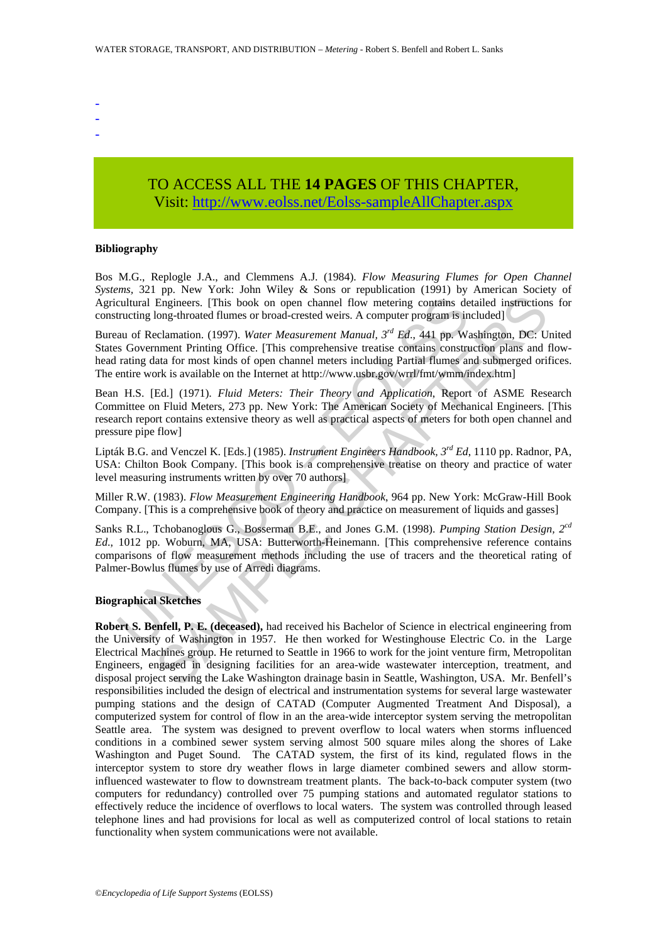- -
- -
- -

# TO ACCESS ALL THE **14 PAGES** OF THIS CHAPTER, Visit: [http://www.eolss.net/Eolss-sampleAllChapter.aspx](https://www.eolss.net/ebooklib/sc_cart.aspx?File=E2-12-04-04)

#### **Bibliography**

Bos M.G., Replogle J.A., and Clemmens A.J. (1984). *Flow Measuring Flumes for Open Channel Systems,* 321 pp. New York: John Wiley & Sons or republication (1991) by American Society of Agricultural Engineers. [This book on open channel flow metering contains detailed instructions for constructing long-throated flumes or broad-crested weirs. A computer program is included]

Bureau of Reclamation. (1997). *Water Measurement Manual, 3rd Ed*., 441 pp*.* Washington, DC: United States Government Printing Office. [This comprehensive treatise contains construction plans and flowhead rating data for most kinds of open channel meters including Partial flumes and submerged orifices. The entire work is available on the Internet at http://www.usbr.gov/wrrl/fmt/wmm/index.htm]

cultural Engineers. [This book on open channel flow metering contains detructing long-throated flumes or broad-crested weirs. A computer program is in an of Reclamation. (1997). Water Measurement Manual,  $3^{nd} Ed$ , 441 pp. Bean H.S. [Ed.] (1971). *Fluid Meters: Their Theory and Application*, Report of ASME Research Committee on Fluid Meters, 273 pp. New York: The American Society of Mechanical Engineers. [This research report contains extensive theory as well as practical aspects of meters for both open channel and pressure pipe flow]

Lipták B.G. and Venczel K. [Eds.] (1985). *Instrument Engineers Handbook, 3rd Ed*, 1110 pp. Radnor, PA, USA: Chilton Book Company. [This book is a comprehensive treatise on theory and practice of water level measuring instruments written by over 70 authors]

Miller R.W. (1983). *Flow Measurement Engineering Handbook*, 964 pp. New York: McGraw-Hill Book Company. [This is a comprehensive book of theory and practice on measurement of liquids and gasses]

Sanks R.L., Tchobanoglous G., Bosserman B.E., and Jones G.M. (1998). *Pumping Station Design, 2cd Ed*., 1012 pp. Woburn, MA, USA: Butterworth-Heinemann. [This comprehensive reference contains comparisons of flow measurement methods including the use of tracers and the theoretical rating of Palmer-Bowlus flumes by use of Arredi diagrams.

#### **Biographical Sketches**

Fig. co. This book on open channel flow metering contains detailed instruction<br>Engineers. [This book on open channel flow metering contains detailed instruction<br>ong-throated flumes or broad-crested weis. A computer progra **Robert S. Benfell, P. E. (deceased),** had received his Bachelor of Science in electrical engineering from the University of Washington in 1957. He then worked for Westinghouse Electric Co. in the Large Electrical Machines group. He returned to Seattle in 1966 to work for the joint venture firm, Metropolitan Engineers, engaged in designing facilities for an area-wide wastewater interception, treatment, and disposal project serving the Lake Washington drainage basin in Seattle, Washington, USA. Mr. Benfell's responsibilities included the design of electrical and instrumentation systems for several large wastewater pumping stations and the design of CATAD (Computer Augmented Treatment And Disposal), a computerized system for control of flow in an the area-wide interceptor system serving the metropolitan Seattle area. The system was designed to prevent overflow to local waters when storms influenced conditions in a combined sewer system serving almost 500 square miles along the shores of Lake Washington and Puget Sound. The CATAD system, the first of its kind, regulated flows in the interceptor system to store dry weather flows in large diameter combined sewers and allow storminfluenced wastewater to flow to downstream treatment plants. The back-to-back computer system (two computers for redundancy) controlled over 75 pumping stations and automated regulator stations to effectively reduce the incidence of overflows to local waters. The system was controlled through leased telephone lines and had provisions for local as well as computerized control of local stations to retain functionality when system communications were not available.